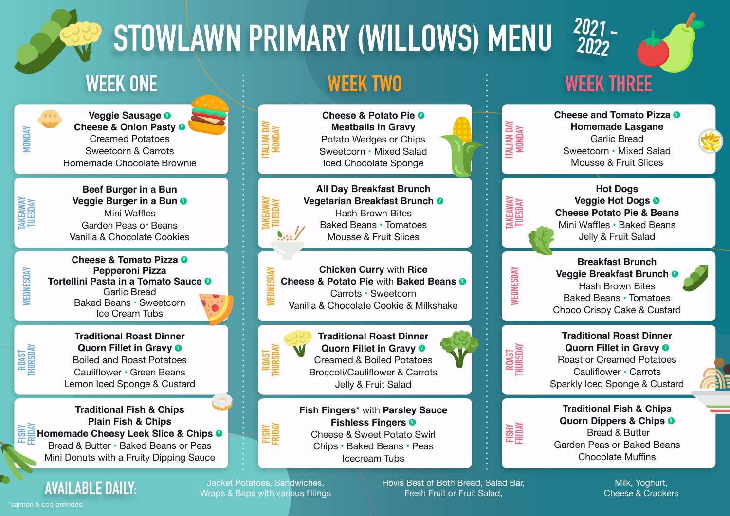# **STOWLAWN PRIMARY (WILLOWS) MENU**



**Veggie Sausage <sup>V</sup> Cheese & Onion Pasty <sup>0</sup>** Creamed Potatoes Sweetcorn & Carrots Homemade Chocolate Brownie

**TAKEAWAY TUESDAY**

**MONDAY**

**Beef Burger in a Bun Veggie Burger in a Bun <sup>O</sup>** Mini Waffles Garden Peas or Beans Vanilla & Chocolate Cookies

**WEDNESDAY**

**ROAST THURSDAY**

**FISHY**

**Cheese & Tomato Pizza <sup>O</sup> Pepperoni Pizza Tortellini Pasta in a Tomato Sauce <sup>V</sup>** Garlic Bread Baked Beans • Sweetcorn Ice Cream Tubs





**FRIDAY TRIP IST & Chips**<br>**Example Cheesy Leek Slice & Chips <b>0**<br>**Regional <sup>8</sup> Butter - Balged Bases of Base Traditional Fish & Chips Plain Fish & Chips** Bread & Butter • Baked Beans or Peas Mini Donuts with a Fruity Dipping Sauce

**AVAILABLE DAILY:** Jacket Potatoes, Sandwiches, Wraps & Baps with various fillings

**FISHY FRIDAY**

**Meatballs in Gravy** Potato Wedges or Chips Sweetcorn • Mixed Salad Iced Chocolate Sponge

**Cheese & Potato Pie <sup>O</sup>** 

**All Day Breakfast Brunch Vegetarian Breakfast Brunch <sup>V</sup>** Hash Brown Bites Baked Beans • Tomatoes Mousse & Fruit Slices

**Chicken Curry** with **Rice Cheese & Potato Pie with Baked Beans**  $\bullet$ Carrots • Sweetcorn Vanilla & Chocolate Cookie & Milkshake



**ITALIAN DAY MONDAY**

**TAKEAWAY TUESDAY**

**WEDNESDAY**

**Traditional Roast Dinner Quorn Fillet in Gravy 0** Creamed & Boiled Potatoes Broccoli/Cauliflower & Carrots Jelly & Fruit Salad

**Fish Fingers\*** with **Parsley Sauce Fishless Fingers <sup>V</sup>** Cheese & Sweet Potato Swirl Chips • Baked Beans • Peas Icecream Tubs



**Cheese and Tomato Pizza <sup>O</sup> Homemade Lasgane** Garlic Bread Sweetcorn • Mixed Salad Mousse & Fruit Slices



**Hot Dogs Veggie Hot Dogs <sup>V</sup> Cheese Potato Pie & Beans** Mini Waffles • Baked Beans Jelly & Fruit Salad

**WEDNESDAY**

**Breakfast Brunch Veggie Breakfast Brunch <sup>V</sup>** Hash Brown Bites Baked Beans • Tomatoes Choco Crispy Cake & Custard



**Traditional Roast Dinner Quorn Fillet in Gravy**  $\bullet$ Roast or Creamed Potatoes Cauliflower • Carrots Sparkly Iced Sponge & Custard



Hovis Best of Both Bread, Salad Bar, Fresh Fruit or Fruit Salad,

**Traditional Fish & Chips Quorn Dippers & Chips**  $\bullet$  Bread & Butter Garden Peas or Baked Beans Chocolate Muffins

> Milk, Yoghurt, Cheese & Crackers